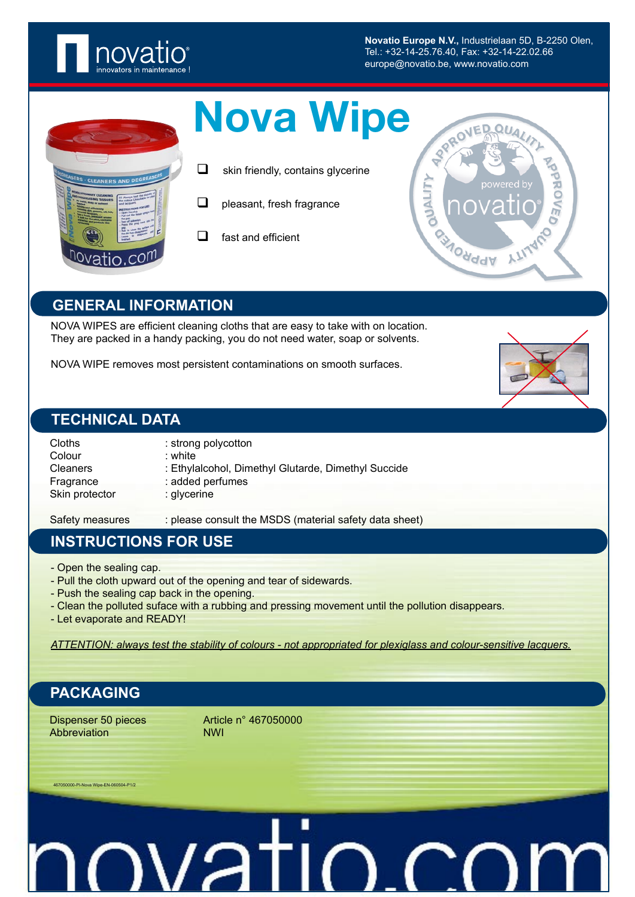

**Novatio Europe N.V.,** Industrielaan 5D, B-2250 Olen, Tel.: +32-14-25.76.40, Fax: +32-14-22.02.66 europe@novatio.be, www.novatio.com

**BAONddV** 

**NUALIT** 

| <b>Nova Wipe</b> |  |
|------------------|--|
|                  |  |

- $\Box$  skin friendly, contains glycerine
- $\Box$  pleasant, fresh fragrance
- $\Box$  fast and efficient

#### **GENERAL INFORMATION**

NOVA WIPES are efficient cleaning cloths that are easy to take with on location. They are packed in a handy packing, you do not need water, soap or solvents.

NOVA WIPE removes most persistent contaminations on smooth surfaces.

#### **TECHNICAL DATA**

| Cloths<br>Colour | : strong polycotton<br>$:$ white                    |  |
|------------------|-----------------------------------------------------|--|
|                  |                                                     |  |
| <b>Cleaners</b>  | : Ethylalcohol, Dimethyl Glutarde, Dimethyl Succide |  |
| Fragrance        | : added perfumes                                    |  |
| Skin protector   | : glycerine                                         |  |
|                  |                                                     |  |

Safety measures : please consult the MSDS (material safety data sheet)

#### **INSTRUCTIONS FOR USE**

- Open the sealing cap.
- Pull the cloth upward out of the opening and tear of sidewards.
- Push the sealing cap back in the opening.
- Clean the polluted suface with a rubbing and pressing movement until the pollution disappears.
- Let evaporate and READY!

*ATTENTION: always test the stability of colours - not appropriated for plexiglass and colour-sensitive lacquers.*

## **PACKAGING**

Abbreviation NWI

Dispenser 50 pieces Article n° 467050000

467050000-PI-Nova Wipe-EN-060504-P1/2

# <u>ITRVOIN</u> ገ ( **~(**